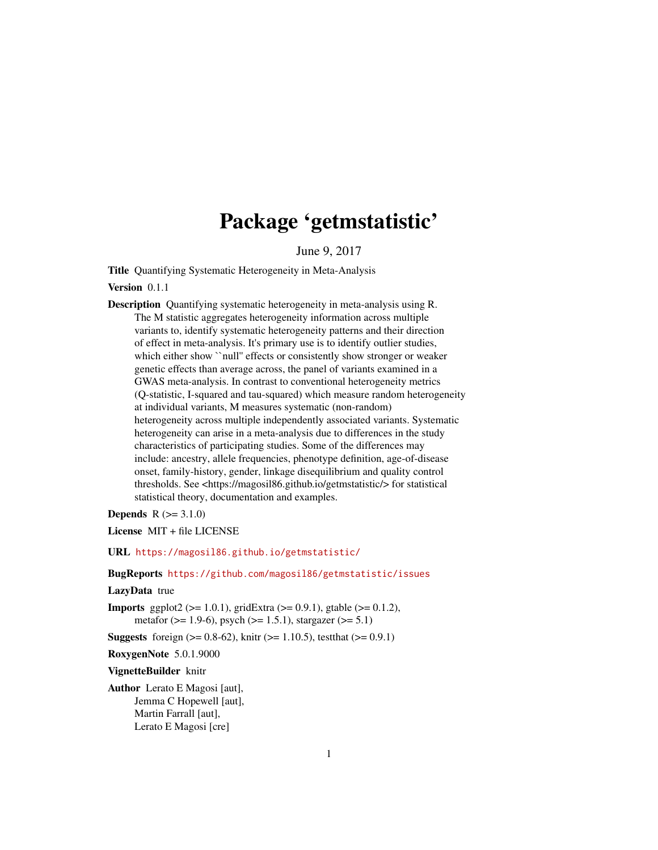## Package 'getmstatistic'

June 9, 2017

<span id="page-0-0"></span>Title Quantifying Systematic Heterogeneity in Meta-Analysis

Version 0.1.1

Description Quantifying systematic heterogeneity in meta-analysis using R. The M statistic aggregates heterogeneity information across multiple variants to, identify systematic heterogeneity patterns and their direction of effect in meta-analysis. It's primary use is to identify outlier studies, which either show ``null'' effects or consistently show stronger or weaker genetic effects than average across, the panel of variants examined in a GWAS meta-analysis. In contrast to conventional heterogeneity metrics (Q-statistic, I-squared and tau-squared) which measure random heterogeneity at individual variants, M measures systematic (non-random) heterogeneity across multiple independently associated variants. Systematic heterogeneity can arise in a meta-analysis due to differences in the study characteristics of participating studies. Some of the differences may include: ancestry, allele frequencies, phenotype definition, age-of-disease onset, family-history, gender, linkage disequilibrium and quality control thresholds. See <https://magosil86.github.io/getmstatistic/> for statistical statistical theory, documentation and examples.

**Depends**  $R (= 3.1.0)$ 

License MIT + file LICENSE

URL <https://magosil86.github.io/getmstatistic/>

#### BugReports <https://github.com/magosil86/getmstatistic/issues>

#### LazyData true

**Imports** ggplot2 ( $>= 1.0.1$ ), gridExtra ( $>= 0.9.1$ ), gtable ( $>= 0.1.2$ ), metafor ( $>= 1.9-6$ ), psych ( $>= 1.5.1$ ), stargazer ( $>= 5.1$ )

**Suggests** foreign ( $> = 0.8-62$ ), knitr ( $> = 1.10.5$ ), test that ( $> = 0.9.1$ )

RoxygenNote 5.0.1.9000

#### VignetteBuilder knitr

Author Lerato E Magosi [aut], Jemma C Hopewell [aut], Martin Farrall [aut], Lerato E Magosi [cre]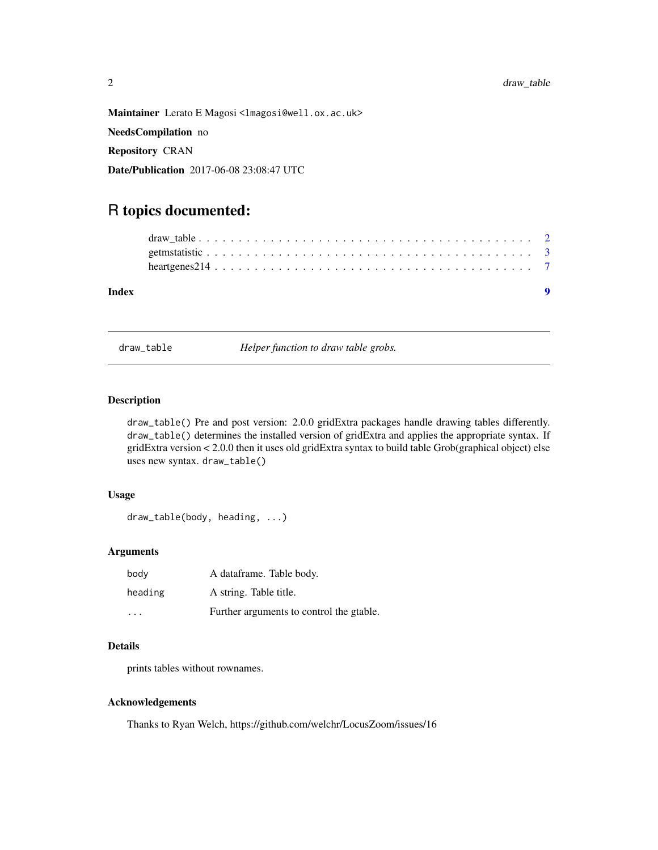<span id="page-1-0"></span>Maintainer Lerato E Magosi <lmagosi@well.ox.ac.uk>

NeedsCompilation no

Repository CRAN

Date/Publication 2017-06-08 23:08:47 UTC

### R topics documented:

| Index |  |
|-------|--|
|       |  |
|       |  |
|       |  |

draw\_table *Helper function to draw table grobs.*

#### Description

draw\_table() Pre and post version: 2.0.0 gridExtra packages handle drawing tables differently. draw\_table() determines the installed version of gridExtra and applies the appropriate syntax. If gridExtra version < 2.0.0 then it uses old gridExtra syntax to build table Grob(graphical object) else uses new syntax. draw\_table()

#### Usage

draw\_table(body, heading, ...)

#### Arguments

| body                    | A dataframe. Table body.                 |
|-------------------------|------------------------------------------|
| heading                 | A string. Table title.                   |
| $\cdot$ $\cdot$ $\cdot$ | Further arguments to control the gtable. |

#### Details

prints tables without rownames.

#### Acknowledgements

Thanks to Ryan Welch, https://github.com/welchr/LocusZoom/issues/16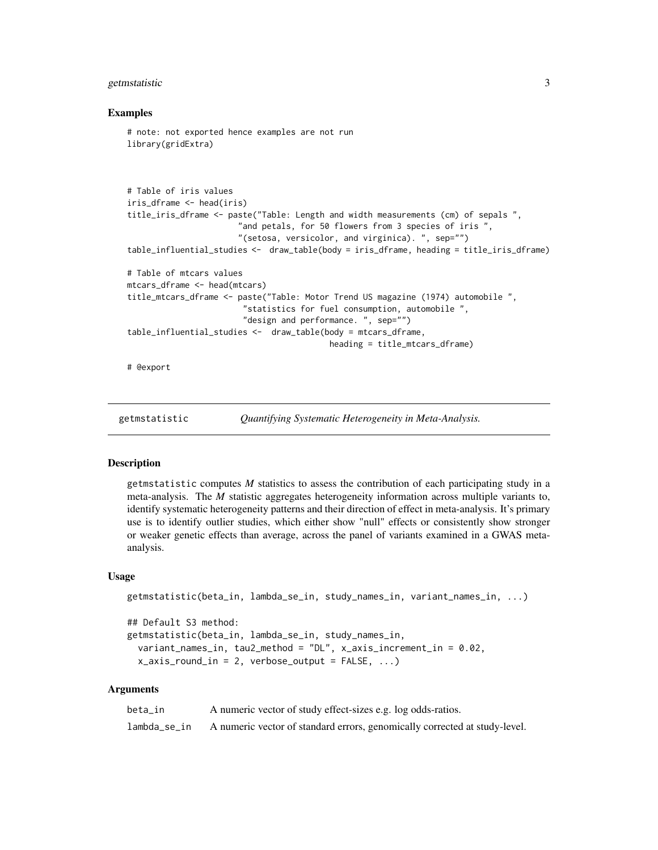#### <span id="page-2-0"></span>getmstatistic 3

#### Examples

```
# note: not exported hence examples are not run
library(gridExtra)
# Table of iris values
iris_dframe <- head(iris)
title_iris_dframe <- paste("Table: Length and width measurements (cm) of sepals ",
                       "and petals, for 50 flowers from 3 species of iris ",
                       "(setosa, versicolor, and virginica). ", sep="")
table_influential_studies <- draw_table(body = iris_dframe, heading = title_iris_dframe)
# Table of mtcars values
mtcars_dframe <- head(mtcars)
title_mtcars_dframe <- paste("Table: Motor Trend US magazine (1974) automobile ",
                        "statistics for fuel consumption, automobile ",
                        "design and performance. ", sep="")
table_influential_studies <- draw_table(body = mtcars_dframe,
                                          heading = title_mtcars_dframe)
```
# @export

getmstatistic *Quantifying Systematic Heterogeneity in Meta-Analysis.*

#### **Description**

getmstatistic computes *M* statistics to assess the contribution of each participating study in a meta-analysis. The *M* statistic aggregates heterogeneity information across multiple variants to, identify systematic heterogeneity patterns and their direction of effect in meta-analysis. It's primary use is to identify outlier studies, which either show "null" effects or consistently show stronger or weaker genetic effects than average, across the panel of variants examined in a GWAS metaanalysis.

#### Usage

```
getmstatistic(beta_in, lambda_se_in, study_names_in, variant_names_in, ...)
## Default S3 method:
getmstatistic(beta_in, lambda_se_in, study_names_in,
 variant_names_in, tau2_method = "DL", x_axis_increment_in = 0.02,
 x_axis_rround_in = 2, verbose_output = FALSE, ...)
```
#### Arguments

| beta in      | A numeric vector of study effect-sizes e.g. log odds-ratios.               |
|--------------|----------------------------------------------------------------------------|
| lambda_se_in | A numeric vector of standard errors, genomically corrected at study-level. |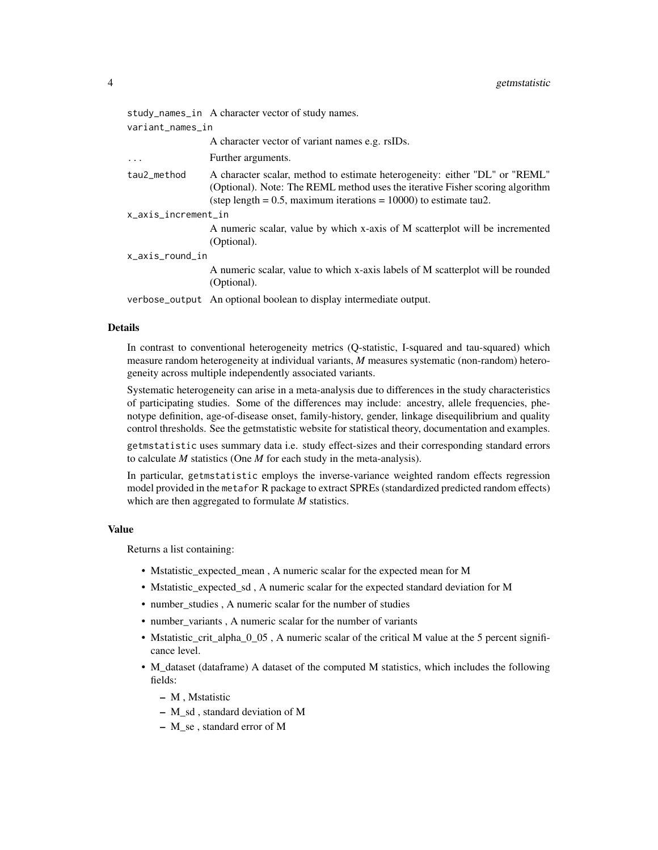|                     | study_names_in A character vector of study names.                                                                                                                                                                                       |  |  |  |  |
|---------------------|-----------------------------------------------------------------------------------------------------------------------------------------------------------------------------------------------------------------------------------------|--|--|--|--|
| variant_names_in    |                                                                                                                                                                                                                                         |  |  |  |  |
|                     | A character vector of variant names e.g. rsIDs.                                                                                                                                                                                         |  |  |  |  |
| $\ddotsc$           | Further arguments.                                                                                                                                                                                                                      |  |  |  |  |
| tau2 method         | A character scalar, method to estimate heterogeneity: either "DL" or "REML"<br>(Optional). Note: The REML method uses the iterative Fisher scoring algorithm<br>(step length = $0.5$ , maximum iterations = $10000$ ) to estimate tau2. |  |  |  |  |
| x_axis_increment_in |                                                                                                                                                                                                                                         |  |  |  |  |
|                     | A numeric scalar, value by which x-axis of M scatterplot will be incremented<br>(Optional).                                                                                                                                             |  |  |  |  |
| x_axis_round_in     |                                                                                                                                                                                                                                         |  |  |  |  |
|                     | A numeric scalar, value to which x-axis labels of M scatterplot will be rounded<br>(Optional).                                                                                                                                          |  |  |  |  |

verbose\_output An optional boolean to display intermediate output.

#### Details

In contrast to conventional heterogeneity metrics (Q-statistic, I-squared and tau-squared) which measure random heterogeneity at individual variants, *M* measures systematic (non-random) heterogeneity across multiple independently associated variants.

Systematic heterogeneity can arise in a meta-analysis due to differences in the study characteristics of participating studies. Some of the differences may include: ancestry, allele frequencies, phenotype definition, age-of-disease onset, family-history, gender, linkage disequilibrium and quality control thresholds. See the getmstatistic website for statistical theory, documentation and examples.

getmstatistic uses summary data i.e. study effect-sizes and their corresponding standard errors to calculate *M* statistics (One *M* for each study in the meta-analysis).

In particular, getmstatistic employs the inverse-variance weighted random effects regression model provided in the metafor R package to extract SPREs (standardized predicted random effects) which are then aggregated to formulate *M* statistics.

#### Value

Returns a list containing:

- Mstatistic\_expected\_mean , A numeric scalar for the expected mean for M
- Mstatistic\_expected\_sd , A numeric scalar for the expected standard deviation for M
- number studies , A numeric scalar for the number of studies
- number variants , A numeric scalar for the number of variants
- Mstatistic\_crit\_alpha\_0\_05 , A numeric scalar of the critical M value at the 5 percent significance level.
- M\_dataset (dataframe) A dataset of the computed M statistics, which includes the following fields:
	- M , Mstatistic
	- M\_sd , standard deviation of M
	- M\_se , standard error of M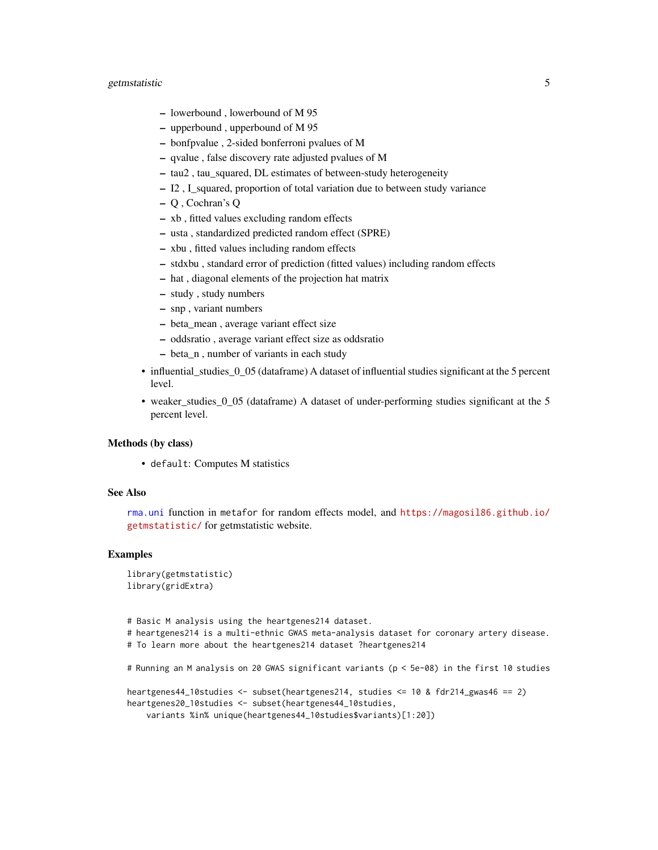#### <span id="page-4-0"></span>getmstatistic 5

- lowerbound , lowerbound of M 95
- upperbound , upperbound of M 95
- bonfpvalue , 2-sided bonferroni pvalues of M
- qvalue , false discovery rate adjusted pvalues of M
- tau2 , tau\_squared, DL estimates of between-study heterogeneity
- I2 , I\_squared, proportion of total variation due to between study variance
- Q , Cochran's Q
- xb , fitted values excluding random effects
- usta , standardized predicted random effect (SPRE)
- xbu , fitted values including random effects
- stdxbu , standard error of prediction (fitted values) including random effects
- hat , diagonal elements of the projection hat matrix
- study , study numbers
- snp , variant numbers
- beta\_mean , average variant effect size
- oddsratio , average variant effect size as oddsratio
- beta\_n , number of variants in each study
- influential\_studies\_0\_05 (dataframe) A dataset of influential studies significant at the 5 percent level.
- weaker\_studies\_0\_05 (dataframe) A dataset of under-performing studies significant at the 5 percent level.

#### Methods (by class)

• default: Computes M statistics

#### See Also

[rma.uni](#page-0-0) function in metafor for random effects model, and [https://magosil86.github.io/](https://magosil86.github.io/getmstatistic/) [getmstatistic/](https://magosil86.github.io/getmstatistic/) for getmstatistic website.

#### Examples

```
library(getmstatistic)
library(gridExtra)
```
# Basic M analysis using the heartgenes214 dataset. # heartgenes214 is a multi-ethnic GWAS meta-analysis dataset for coronary artery disease. # To learn more about the heartgenes214 dataset ?heartgenes214

```
# Running an M analysis on 20 GWAS significant variants (p < 5e-08) in the first 10 studies
```

```
heartgenes44_10studies <- subset(heartgenes214, studies <= 10 & fdr214_gwas46 == 2)
heartgenes20_10studies <- subset(heartgenes44_10studies,
   variants %in% unique(heartgenes44_10studies$variants)[1:20])
```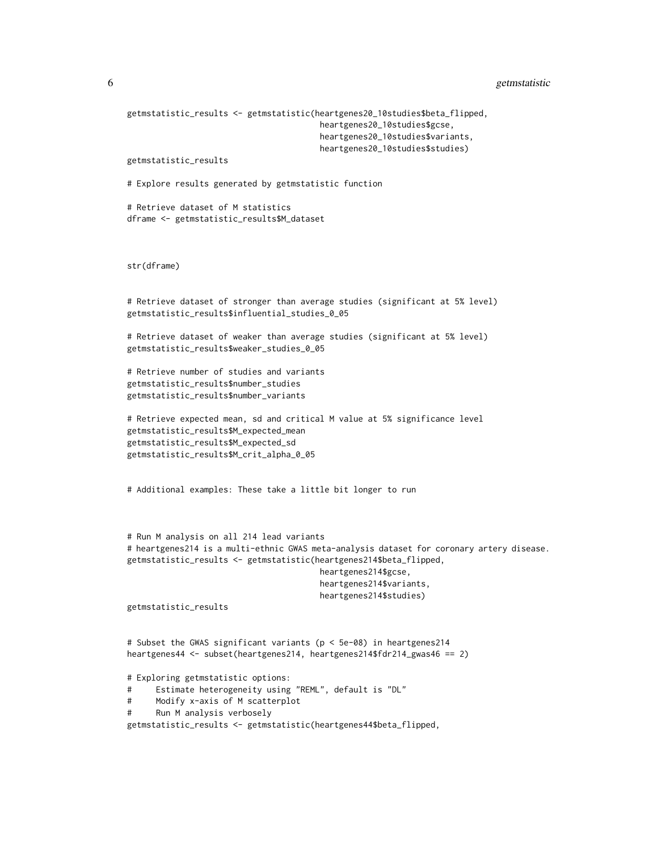```
6 getmstatistic
```

```
getmstatistic_results <- getmstatistic(heartgenes20_10studies$beta_flipped,
                                       heartgenes20_10studies$gcse,
                                       heartgenes20_10studies$variants,
                                       heartgenes20_10studies$studies)
getmstatistic_results
# Explore results generated by getmstatistic function
# Retrieve dataset of M statistics
dframe <- getmstatistic_results$M_dataset
str(dframe)
# Retrieve dataset of stronger than average studies (significant at 5% level)
getmstatistic_results$influential_studies_0_05
# Retrieve dataset of weaker than average studies (significant at 5% level)
getmstatistic_results$weaker_studies_0_05
# Retrieve number of studies and variants
getmstatistic_results$number_studies
getmstatistic_results$number_variants
# Retrieve expected mean, sd and critical M value at 5% significance level
getmstatistic_results$M_expected_mean
getmstatistic_results$M_expected_sd
getmstatistic_results$M_crit_alpha_0_05
# Additional examples: These take a little bit longer to run
# Run M analysis on all 214 lead variants
# heartgenes214 is a multi-ethnic GWAS meta-analysis dataset for coronary artery disease.
getmstatistic_results <- getmstatistic(heartgenes214$beta_flipped,
                                        heartgenes214$gcse,
                                        heartgenes214$variants,
                                        heartgenes214$studies)
getmstatistic_results
# Subset the GWAS significant variants (p < 5e-08) in heartgenes214
heartgenes44 <- subset(heartgenes214, heartgenes214$fdr214_gwas46 == 2)
# Exploring getmstatistic options:
# Estimate heterogeneity using "REML", default is "DL"
# Modify x-axis of M scatterplot
# Run M analysis verbosely
getmstatistic_results <- getmstatistic(heartgenes44$beta_flipped,
```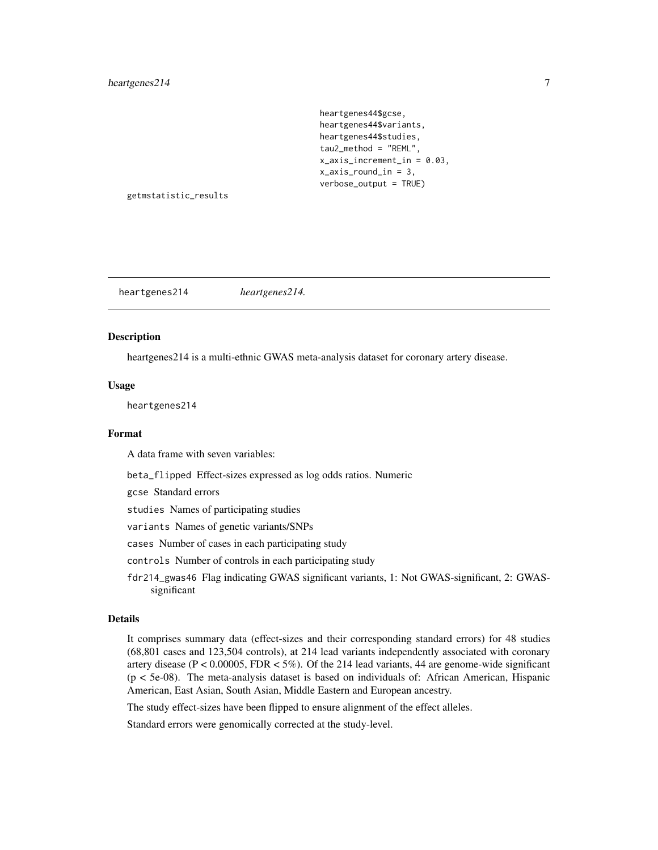heartgenes44\$gcse, heartgenes44\$variants, heartgenes44\$studies, tau2\_method = "REML", x\_axis\_increment\_in = 0.03, x\_axis\_round\_in = 3, verbose\_output = TRUE)

<span id="page-6-0"></span>getmstatistic\_results

heartgenes214 *heartgenes214.*

#### Description

heartgenes214 is a multi-ethnic GWAS meta-analysis dataset for coronary artery disease.

#### Usage

heartgenes214

#### Format

A data frame with seven variables:

beta\_flipped Effect-sizes expressed as log odds ratios. Numeric

gcse Standard errors

studies Names of participating studies

variants Names of genetic variants/SNPs

cases Number of cases in each participating study

- controls Number of controls in each participating study
- fdr214\_gwas46 Flag indicating GWAS significant variants, 1: Not GWAS-significant, 2: GWASsignificant

#### Details

It comprises summary data (effect-sizes and their corresponding standard errors) for 48 studies (68,801 cases and 123,504 controls), at 214 lead variants independently associated with coronary artery disease ( $P < 0.00005$ , FDR  $< 5\%$ ). Of the 214 lead variants, 44 are genome-wide significant (p < 5e-08). The meta-analysis dataset is based on individuals of: African American, Hispanic American, East Asian, South Asian, Middle Eastern and European ancestry.

The study effect-sizes have been flipped to ensure alignment of the effect alleles.

Standard errors were genomically corrected at the study-level.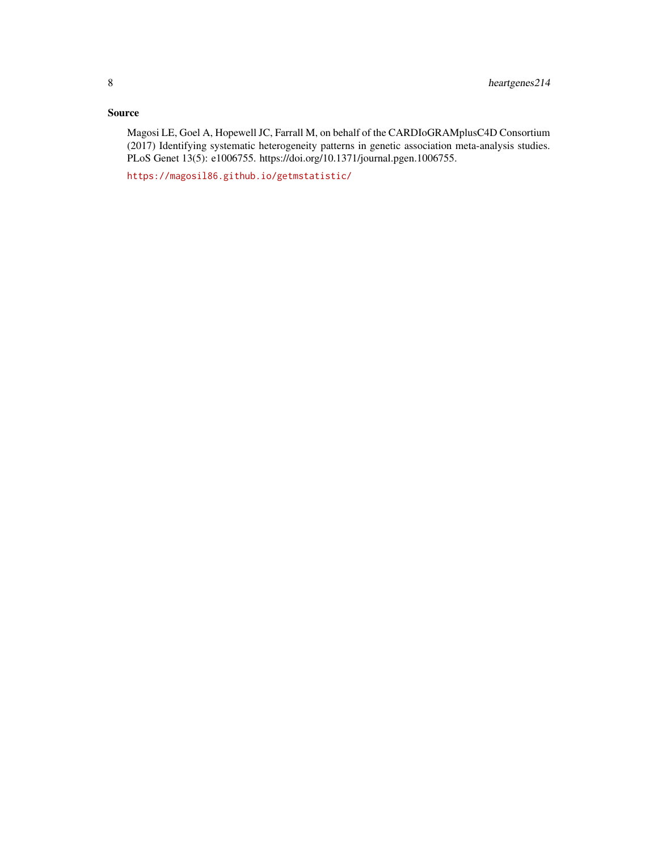#### Source

Magosi LE, Goel A, Hopewell JC, Farrall M, on behalf of the CARDIoGRAMplusC4D Consortium (2017) Identifying systematic heterogeneity patterns in genetic association meta-analysis studies. PLoS Genet 13(5): e1006755. https://doi.org/10.1371/journal.pgen.1006755.

<https://magosil86.github.io/getmstatistic/>